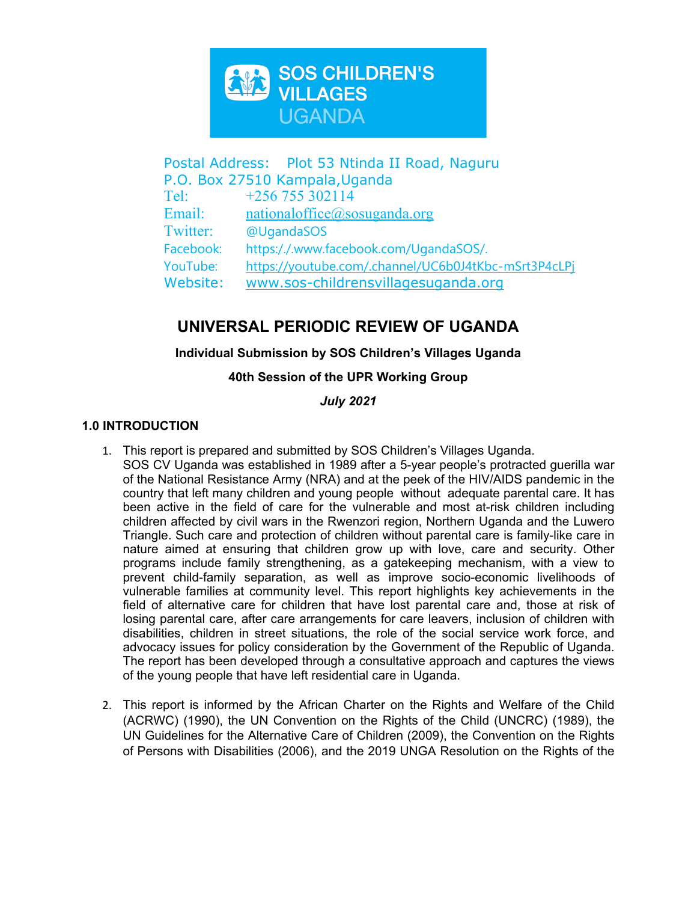

Postal Address: Plot 53 Ntinda II Road, Naguru P.O. Box 27510 Kampala,Uganda Tel:  $+256\,755\,302114$ Email: [nationaloffice@sosuganda.org](mailto:nationaloffice@sosuganda.org) Twitter: @UgandaSOS Facebook: https:/./.www.facebook.com/UgandaSOS/. YouTube: <https://youtube.com/.channel/UC6b0J4tKbc-mSrt3P4cLPj> Website: [www.sos-childrensvillagesuganda.org](http://www.sos-childrensvillagesuganda.org)

# **UNIVERSAL PERIODIC REVIEW OF UGANDA**

## **Individual Submission by SOS Children'<sup>s</sup> Villages Uganda**

## **40th Session of the UPR Working Group**

## *July 2021*

## **1.0 INTRODUCTION**

- 1. This report is prepared and submitted by SOS Children'<sup>s</sup> Villages Uganda. SOS CV Uganda was established in 1989 after <sup>a</sup> 5-year people'<sup>s</sup> protracted guerilla war of the National Resistance Army (NRA) and at the peek of the HIV/AIDS pandemic in the country that left many children and young people without adequate parental care. It has been active in the field of care for the vulnerable and most at-risk children including children affected by civil wars in the Rwenzori region, Northern Uganda and the Luwero Triangle. Such care and protection of children without parental care is family-like care in nature aimed at ensuring that children grow up with love, care and security. Other programs include family strengthening, as <sup>a</sup> gatekeeping mechanism, with <sup>a</sup> view to prevent child-family separation, as well as improve socio-economic livelihoods of vulnerable families at community level. This report highlights key achievements in the field of alternative care for children that have lost parental care and, those at risk of losing parental care, after care arrangements for care leavers, inclusion of children with disabilities, children in street situations, the role of the social service work force, and advocacy issues for policy consideration by the Government of the Republic of Uganda. The report has been developed through <sup>a</sup> consultative approach and captures the views of the young people that have left residential care in Uganda.
- 2. This report is informed by the African Charter on the Rights and Welfare of the Child (ACRWC) (1990), the UN Convention on the Rights of the Child (UNCRC) (1989), the UN Guidelines for the Alternative Care of Children (2009), the Convention on the Rights of Persons with Disabilities (2006), and the 2019 UNGA Resolution on the Rights of the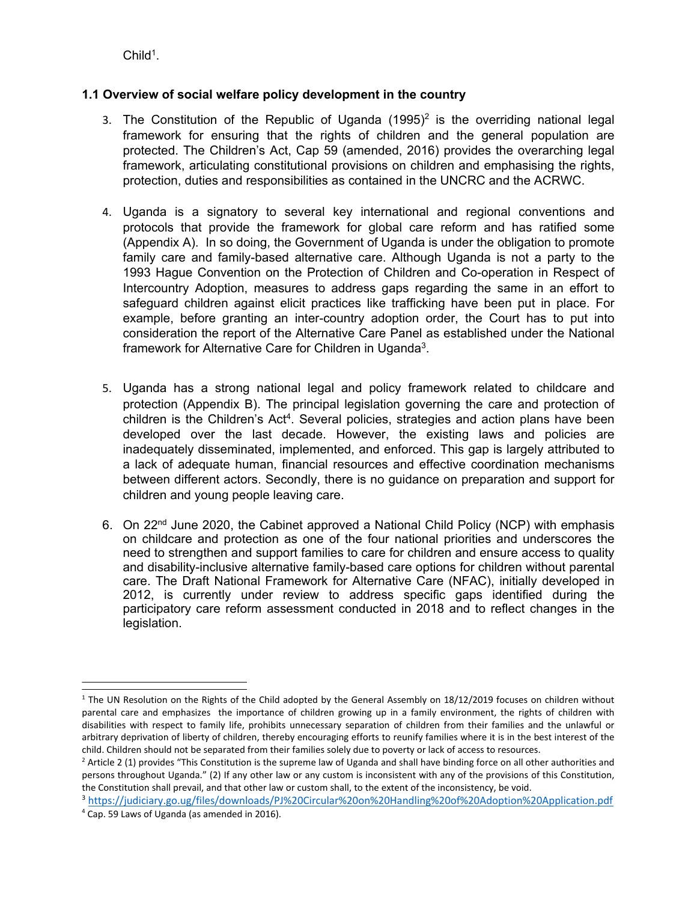$\mathsf{Child}^{\mathsf{1}}$ .

## **1.1 Overview of social welfare policy development in the country**

- 3. The Constitution of the Republic of Uganda (1995) $^2$  is the overriding national legal framework for ensuring that the rights of children and the general population are protected. The Children'<sup>s</sup> Act, Cap 59 (amended, 2016) provides the overarching legal framework, articulating constitutional provisions on children and emphasising the rights, protection, duties and responsibilities as contained in the UNCRC and the ACRWC.
- 4. Uganda is <sup>a</sup> signatory to several key international and regional conventions and protocols that provide the framework for global care reform and has ratified some (Appendix A). In so doing, the Government of Uganda is under the obligation to promote family care and family-based alternative care. Although Uganda is not <sup>a</sup> party to the 1993 Hague Convention on the Protection of Children and Co-operation in Respect of Intercountry Adoption, measures to address gaps regarding the same in an effort to safeguard children against elicit practices like trafficking have been put in place. For example, before granting an inter-country adoption order, the Court has to put into consideration the report of the Alternative Care Panel as established under the National framework for Alternative Care for Children in Uganda $^3$ .
- 5. Uganda has <sup>a</sup> strong national legal and policy framework related to childcare and protection (Appendix B). The principal legislation governing the care and protection of children is the Children's Act<sup>4</sup>. Several policies, strategies and action plans have been developed over the last decade. However, the existing laws and policies are inadequately disseminated, implemented, and enforced. This gap is largely attributed to <sup>a</sup> lack of adequate human, financial resources and effective coordination mechanisms between different actors. Secondly, there is no guidance on preparation and support for children and young people leaving care.
- 6. On 22<sup>nd</sup> June 2020, the Cabinet approved a National Child Policy (NCP) with emphasis on childcare and protection as one of the four national priorities and underscores the need to strengthen and support families to care for children and ensure access to quality and disability-inclusive alternative family-based care options for children without parental care. The Draft National Framework for Alternative Care (NFAC), initially developed in 2012, is currently under review to address specific gaps identified during the participatory care reform assessment conducted in 2018 and to reflect changes in the legislation.

<sup>&</sup>lt;sup>1</sup> The UN Resolution on the Rights of the Child adopted by the General Assembly on 18/12/2019 focuses on children without parental care and emphasizes the importance of children growing up in <sup>a</sup> family environment, the rights of children with disabilities with respect to family life, prohibits unnecessary separation of children from their families and the unlawful or arbitrary deprivation of liberty of children, thereby encouraging efforts to reunify families where it is in the best interest of the child. Children should not be separated from their families solely due to poverty or lack of access to resources.

<sup>&</sup>lt;sup>2</sup> Article 2 (1) provides "This Constitution is the supreme law of Uganda and shall have binding force on all other authorities and persons throughout Uganda." (2) If any other law or any custom is inconsistent with any of the provisions of this Constitution, the Constitution shall prevail, and that other law or custom shall, to the extent of the inconsistency, be void.

<sup>3</sup> <https://judiciary.go.ug/files/downloads/PJ%20Circular%20on%20Handling%20of%20Adoption%20Application.pdf> 4 Cap. 59 Laws of Uganda (as amended in 2016).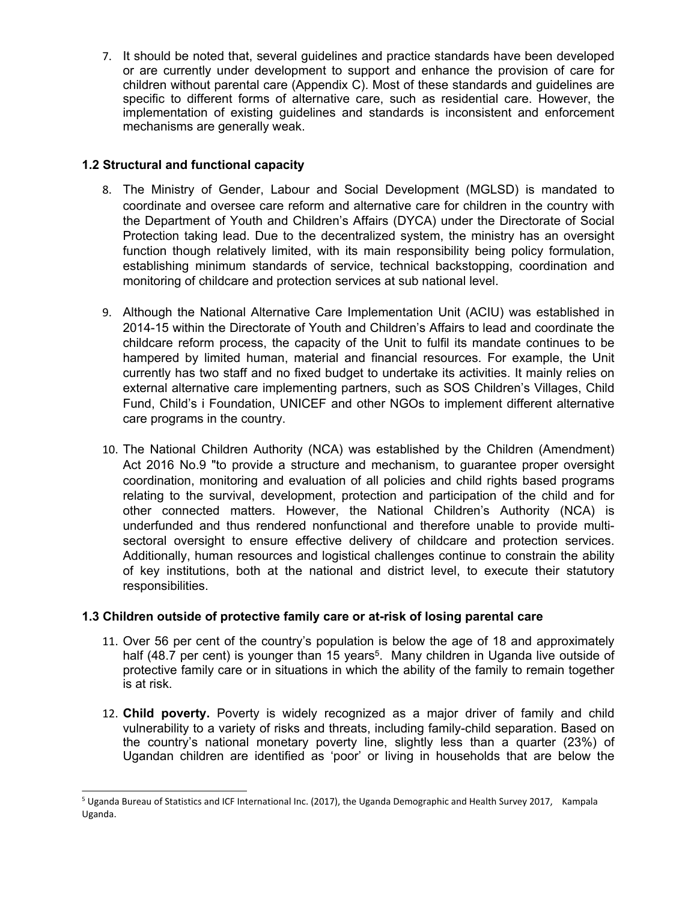7. It should be noted that, several guidelines and practice standards have been developed or are currently under development to support and enhance the provision of care for children without parental care (Appendix C). Most of these standards and guidelines are specific to different forms of alternative care, such as residential care. However, the implementation of existing guidelines and standards is inconsistent and enforcement mechanisms are generally weak.

### **1.2 Structural and functional capacity**

- 8. The Ministry of Gender, Labour and Social Development (MGLSD) is mandated to coordinate and oversee care reform and alternative care for children in the country with the Department of Youth and Children'<sup>s</sup> Affairs (DYCA) under the Directorate of Social Protection taking lead. Due to the decentralized system, the ministry has an oversight function though relatively limited, with its main responsibility being policy formulation, establishing minimum standards of service, technical backstopping, coordination and monitoring of childcare and protection services at sub national level.
- 9. Although the National Alternative Care Implementation Unit (ACIU) was established in 2014-15 within the Directorate of Youth and Children's Affairs to lead and coordinate the childcare reform process, the capacity of the Unit to fulfil its mandate continues to be hampered by limited human, material and financial resources. For example, the Unit currently has two staff and no fixed budget to undertake its activities. It mainly relies on external alternative care implementing partners, such as SOS Children'<sup>s</sup> Villages, Child Fund, Child'<sup>s</sup> i Foundation, UNICEF and other NGOs to implement different alternative care programs in the country.
- 10. The National Children Authority (NCA) was established by the Children (Amendment) Act 2016 No.9 "to provide <sup>a</sup> structure and mechanism, to guarantee proper oversight coordination, monitoring and evaluation of all policies and child rights based programs relating to the survival, development, protection and participation of the child and for other connected matters. However, the National Children'<sup>s</sup> Authority (NCA) is underfunded and thus rendered nonfunctional and therefore unable to provide multisectoral oversight to ensure effective delivery of childcare and protection services. Additionally, human resources and logistical challenges continue to constrain the ability of key institutions, both at the national and district level, to execute their statutory responsibilities.

#### **1.3 Children outside of protective family care or at-risk of losing parental care**

- 11. Over 56 per cent of the country'<sup>s</sup> population is below the age of 18 and approximately half (48.7 per cent) is younger than 15 years<sup>5</sup>. Many children in Uganda live outside of protective family care or in situations in which the ability of the family to remain together is at risk.
- 12. **Child poverty.** Poverty is widely recognized as <sup>a</sup> major driver of family and child vulnerability to <sup>a</sup> variety of risks and threats, including family-child separation. Based on the country'<sup>s</sup> national monetary poverty line, slightly less than <sup>a</sup> quarter (23%) of Ugandan children are identified as 'poor' or living in households that are below the

<sup>5</sup> Uganda Bureau of Statistics and ICF International Inc. (2017), the Uganda Demographic and Health Survey 2017, Kampala Uganda.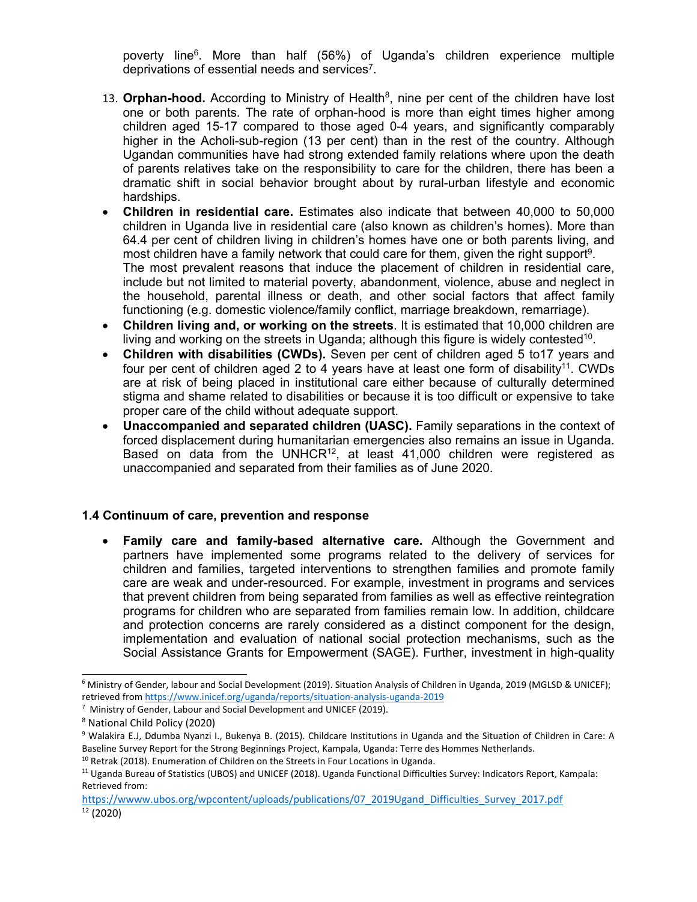poverty line<sup>6</sup>. More than half (56%) of Uganda's children experience multiple deprivations of essential needs and services $^7\!\!$  .

- 13. **Orphan-hood.** According to Ministry of Health<sup>8</sup>, nine per cent of the children have lost one or both parents. The rate of orphan-hood is more than eight times higher among children aged 15-17 compared to those aged 0-4 years, and significantly comparably higher in the Acholi-sub-region (13 per cent) than in the rest of the country. Although Ugandan communities have had strong extended family relations where upon the death of parents relatives take on the responsibility to care for the children, there has been <sup>a</sup> dramatic shift in social behavior brought about by rural-urban lifestyle and economic hardships.
- $\bullet$  **Children in residential care.** Estimates also indicate that between 40,000 to 50,000 children in Uganda live in residential care (also known as children'<sup>s</sup> homes). More than 64.4 per cent of children living in children'<sup>s</sup> homes have one or both parents living, and most children have <sup>a</sup> family network that could care for them, given the right support 9 . The most prevalent reasons that induce the placement of children in residential care, include but not limited to material poverty, abandonment, violence, abuse and neglect in the household, parental illness or death, and other social factors that affect family functioning (e.g. domestic violence/family conflict, marriage breakdown, remarriage).
- e **Children living and, or working on the streets**. It is estimated that 10,000 children are living and working on the streets in Uganda; although this figure is widely contested $^{\rm 10}$ .
- **Children with disabilities (CWDs).** Seven per cent of children aged 5 to17 years and four per cent of children aged 2 to 4 years have at least one form of disability<sup>11</sup>. CWDs are at risk of being placed in institutional care either because of culturally determined stigma and shame related to disabilities or because it is too difficult or expensive to take proper care of the child without adequate support.
- c **Unaccompanied and separated children (UASC).** Family separations in the context of forced displacement during humanitarian emergencies also remains an issue in Uganda. Based on data from the UNHCR $^{\rm 12}$ , at least 41,000 children were registered as unaccompanied and separated from their families as of June 2020.

#### **1.4 Continuum of care, prevention and response**

c **Family care and family-based alternative care.** Although the Government and partners have implemented some programs related to the delivery of services for children and families, targeted interventions to strengthen families and promote family care are weak and under-resourced. For example, investment in programs and services that prevent children from being separated from families as well as effective reintegration programs for children who are separated from families remain low. In addition, childcare and protection concerns are rarely considered as <sup>a</sup> distinct component for the design, implementation and evaluation of national social protection mechanisms, such as the Social Assistance Grants for Empowerment (SAGE). Further, investment in high-quality

<sup>6</sup> Ministry of Gender, labour and Social Development (2019). Situation Analysis of Children in Uganda, <sup>2019</sup> (MGLSD & UNICEF); retrieved from <https://www.inicef.org/uganda/reports/situation-analysis-uganda-2019>

<sup>&</sup>lt;sup>7</sup> Ministry of Gender, Labour and Social Development and UNICEF (2019).

<sup>8</sup> National Child Policy (2020)

<sup>9</sup> Walakira E.J, Ddumba Nyanzi I., Bukenya B. (2015). Childcare Institutions in Uganda and the Situation of Children in Care: <sup>A</sup> Baseline Survey Report for the Strong Beginnings Project, Kampala, Uganda: Terre des Hommes Netherlands.

<sup>&</sup>lt;sup>10</sup> Retrak (2018). Enumeration of Children on the Streets in Four Locations in Uganda.

<sup>11</sup> Uganda Bureau of Statistics (UBOS) and UNICEF (2018). Uganda Functional Difficulties Survey: Indicators Report, Kampala: Retrieved from:

[https://wwww.ubos.org/wpcontent/uploads/publications/07\\_2019Ugand\\_Difficulties\\_Survey\\_2017.pdf](https://wwww.ubos.org/wpcontent/uploads/publications/07_2019Ugand_Difficulties_Survey_2017.pdf) 12 (2020)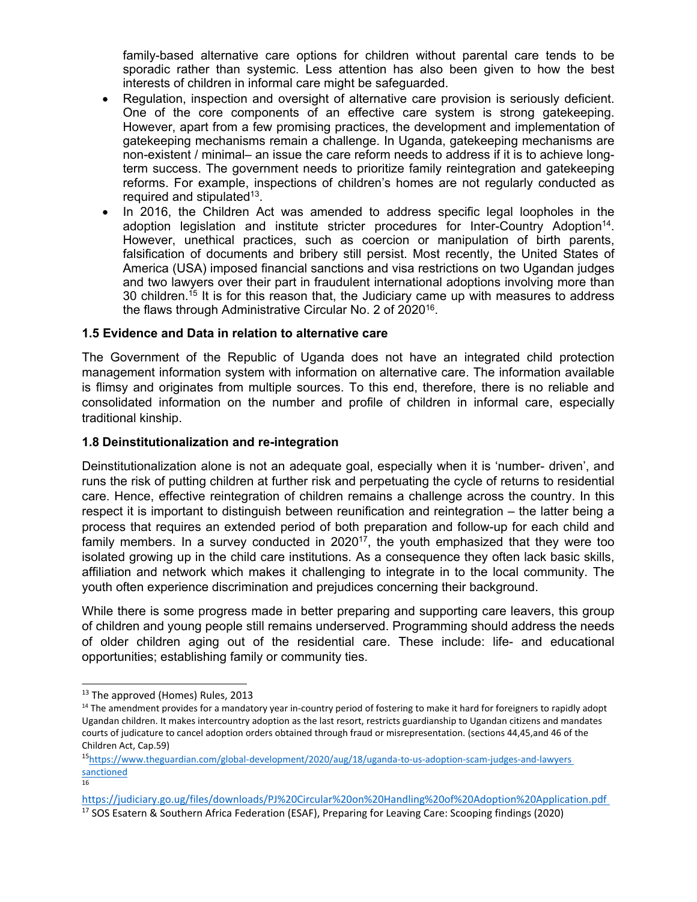family-based alternative care options for children without parental care tends to be sporadic rather than systemic. Less attention has also been given to how the best interests of children in informal care might be safeguarded.

- c Regulation, inspection and oversight of alternative care provision is seriously deficient. One of the core components of an effective care system is strong gatekeeping. However, apart from <sup>a</sup> few promising practices, the development and implementation of gatekeeping mechanisms remain <sup>a</sup> challenge. In Uganda, gatekeeping mechanisms are non-existent / minimal– an issue the care reform needs to address if it is to achieve longterm success. The government needs to prioritize family reintegration and gatekeeping reforms. For example, inspections of children'<sup>s</sup> homes are not regularly conducted as required and stipulated $^{\rm 13}$ .
- $\bullet$  In 2016, the Children Act was amended to address specific legal loopholes in the adoption legislation and institute stricter procedures for Inter-Country Adoption $^{\sf 14}$ . However, unethical practices, such as coercion or manipulation of birth parents, falsification of documents and bribery still persist. Most recently, the United States of America (USA) imposed financial sanctions and visa restrictions on two Ugandan judges and two lawyers over their part in fraudulent international adoptions involving more than 30 children.<sup>15</sup> It is for this reason that, the Judiciary came up with measures to address the flaws through Administrative Circular No. 2 of 2020<sup>16</sup> .

#### **1.5 Evidence and Data in relation to alternative care**

The Government of the Republic of Uganda does not have an integrated child protection management information system with information on alternative care. The information available is flimsy and originates from multiple sources. To this end, therefore, there is no reliable and consolidated information on the number and profile of children in informal care, especially traditional kinship.

#### **1.8 Deinstitutionalization and re-integration**

Deinstitutionalization alone is not an adequate goal, especially when it is 'number- driven', and runs the risk of putting children at further risk and perpetuating the cycle of returns to residential care. Hence, effective reintegration of children remains <sup>a</sup> challenge across the country. In this respect it is important to distinguish between reunification and reintegration – the latter being <sup>a</sup> process that requires an extended period of both preparation and follow-up for each child and family members. In a survey conducted in 2020 $^{17}$ , the youth emphasized that they were too isolated growing up in the child care institutions. As <sup>a</sup> consequence they often lack basic skills, affiliation and network which makes it challenging to integrate in to the local community. The youth often experience discrimination and prejudices concerning their background.

While there is some progress made in better preparing and supporting care leavers, this group of children and young people still remains underserved. Programming should address the needs of older children aging out of the residential care. These include: life- and educational opportunities; establishing family or community ties.

16

<sup>&</sup>lt;sup>13</sup> The approved (Homes) Rules, 2013

<sup>&</sup>lt;sup>14</sup> The amendment provides for a mandatory year in-country period of fostering to make it hard for foreigners to rapidly adopt Ugandan children. It makes intercountry adoption as the last resort, restricts guardianship to Ugandan citizens and mandates courts of judicature to cancel adoption orders obtained through fraud or misrepresentation. (sections 44,45,and 46 of the Children Act, Cap.59)

<sup>15</sup> [https://www.theguardian.com/global-development/2020/aug/18/uganda-to-us-adoption-scam-judges-and-lawyers](https://www.theguardian.com/global-development/2020/aug/18/uganda-to-us-adoption-scam-judges-and-lawyers%20sanctioned) [sanctioned](https://www.theguardian.com/global-development/2020/aug/18/uganda-to-us-adoption-scam-judges-and-lawyers%20sanctioned)

<https://judiciary.go.ug/files/downloads/PJ%20Circular%20on%20Handling%20of%20Adoption%20Application.pdf> <sup>17</sup> SOS Esatern & Southern Africa Federation (ESAF), Preparing for Leaving Care: Scooping findings (2020)